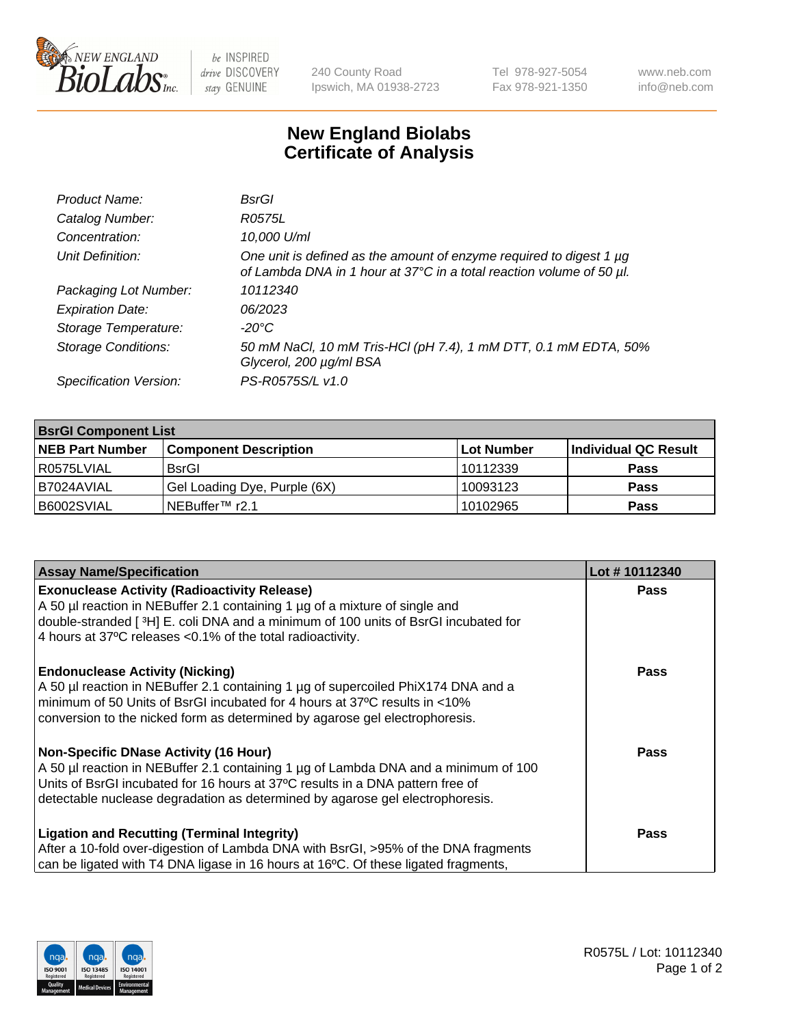

be INSPIRED drive DISCOVERY stay GENUINE

240 County Road Ipswich, MA 01938-2723 Tel 978-927-5054 Fax 978-921-1350 www.neb.com info@neb.com

## **New England Biolabs Certificate of Analysis**

| Product Name:              | BsrGl                                                                                                                                       |
|----------------------------|---------------------------------------------------------------------------------------------------------------------------------------------|
| Catalog Number:            | R0575L                                                                                                                                      |
| Concentration:             | 10,000 U/ml                                                                                                                                 |
| Unit Definition:           | One unit is defined as the amount of enzyme required to digest 1 µg<br>of Lambda DNA in 1 hour at 37°C in a total reaction volume of 50 µl. |
| Packaging Lot Number:      | 10112340                                                                                                                                    |
| <b>Expiration Date:</b>    | 06/2023                                                                                                                                     |
| Storage Temperature:       | -20°C                                                                                                                                       |
| <b>Storage Conditions:</b> | 50 mM NaCl, 10 mM Tris-HCl (pH 7.4), 1 mM DTT, 0.1 mM EDTA, 50%<br>Glycerol, 200 µg/ml BSA                                                  |
| Specification Version:     | PS-R0575S/L v1.0                                                                                                                            |

| <b>BsrGI Component List</b> |                              |            |                      |  |  |
|-----------------------------|------------------------------|------------|----------------------|--|--|
| <b>NEB Part Number</b>      | <b>Component Description</b> | Lot Number | Individual QC Result |  |  |
| R0575LVIAL                  | <b>BsrGI</b>                 | 10112339   | <b>Pass</b>          |  |  |
| I B7024AVIAL                | Gel Loading Dye, Purple (6X) | 10093123   | <b>Pass</b>          |  |  |
| B6002SVIAL                  | INEBuffer™ r2.1              | 10102965   | <b>Pass</b>          |  |  |

| <b>Assay Name/Specification</b>                                                                                                                                   | Lot #10112340 |
|-------------------------------------------------------------------------------------------------------------------------------------------------------------------|---------------|
| <b>Exonuclease Activity (Radioactivity Release)</b>                                                                                                               | <b>Pass</b>   |
| A 50 µl reaction in NEBuffer 2.1 containing 1 µg of a mixture of single and<br>double-stranded [3H] E. coli DNA and a minimum of 100 units of BsrGI incubated for |               |
| 4 hours at 37°C releases < 0.1% of the total radioactivity.                                                                                                       |               |
| <b>Endonuclease Activity (Nicking)</b>                                                                                                                            | <b>Pass</b>   |
| A 50 µl reaction in NEBuffer 2.1 containing 1 µg of supercoiled PhiX174 DNA and a<br>minimum of 50 Units of BsrGI incubated for 4 hours at 37°C results in <10%   |               |
| conversion to the nicked form as determined by agarose gel electrophoresis.                                                                                       |               |
| <b>Non-Specific DNase Activity (16 Hour)</b>                                                                                                                      | Pass          |
| A 50 µl reaction in NEBuffer 2.1 containing 1 µg of Lambda DNA and a minimum of 100                                                                               |               |
| Units of BsrGI incubated for 16 hours at 37°C results in a DNA pattern free of<br>detectable nuclease degradation as determined by agarose gel electrophoresis.   |               |
| <b>Ligation and Recutting (Terminal Integrity)</b>                                                                                                                | <b>Pass</b>   |
| After a 10-fold over-digestion of Lambda DNA with BsrGI, >95% of the DNA fragments                                                                                |               |
| can be ligated with T4 DNA ligase in 16 hours at 16°C. Of these ligated fragments,                                                                                |               |